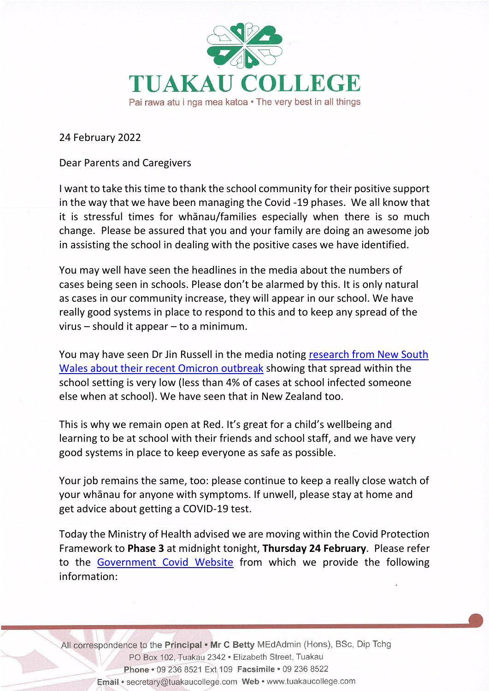

24 February 2022

Dear Parents and Caregivers

I want to take this time to thank the school community for their positive support in the way that we have been managing the Covid -19 phases. We all know that it is stressful times for whānau/families especially when there is so much change. Please be assured that you and your family are doing an awesome job in assisting the school in dealing with the positive cases we have identified.

You may well have seen the headlines in the media about the numbers of cases being seen in schools. Please don't be alarmed by this. It is only natural as cases in our community increase, they will appear in our school. We have really good systems in place to respond to this and to keep any spread of the virus – should it appear – to a minimum.

You may have seen Dr Jin Russell in the media noting [research from New South](https://www.ncirs.org.au/sites/default/files/2022-02/NCIRS_NSW_Schools_COVID_Summary_Term_4_2021_Report%20-%2018-02-2022_FINAL_1.pdf)  [Wales about their recent Omicron outbreak](https://www.ncirs.org.au/sites/default/files/2022-02/NCIRS_NSW_Schools_COVID_Summary_Term_4_2021_Report%20-%2018-02-2022_FINAL_1.pdf) showing that spread within the school setting is very low (less than 4% of cases at school infected someone else when at school). We have seen that in New Zealand too.

This is why we remain open at Red. It's great for a child's wellbeing and learning to be at school with their friends and school staff, and we have very good systems in place to keep everyone as safe as possible.

Your job remains the same, too: please continue to keep a really close watch of your whānau for anyone with symptoms. If unwell, please stay at home and get advice about getting a COVID-19 test.

Today the Ministry of Health advised we are moving within the Covid Protection Framework to **Phase 3** at midnight tonight, **Thursday 24 February**. Please refer to the [Government Covid Website](https://covid19.govt.nz/prepare-and-stay-safe/about-covid-19/our-response-to-omicron/) from which we provide the following information:

All correspondence to the Principal . Mr C Betty MEdAdmin (Hons), BSc, Dip Tchg PO Box 102, Tuakau 2342 · Elizabeth Street, Tuakau Phone . 09 236 8521 Ext 109 Facsimile . 09 236 8522 Email · secretary@tuakaucollege.com Web · www.tuakaucollege.com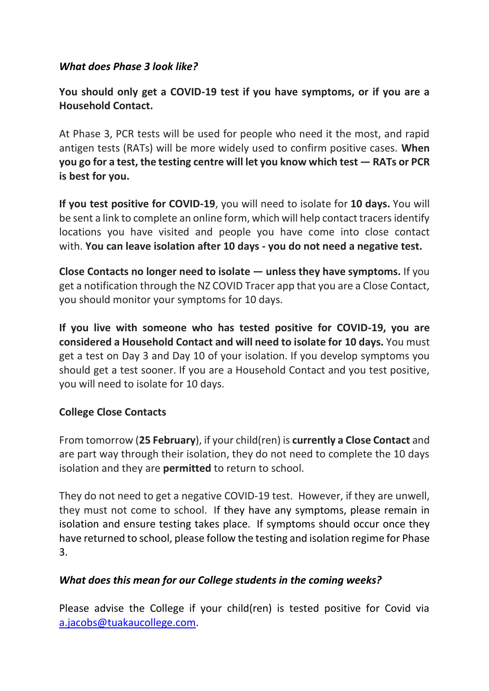## *What does Phase 3 look like?*

**You should only get a COVID-19 test if you have symptoms, or if you are a Household Contact.**

At Phase 3, PCR tests will be used for people who need it the most, and rapid antigen tests (RATs) will be more widely used to confirm positive cases. **When you go for a test, the testing centre will let you know which test — RATs or PCR is best for you.**

**If you test positive for COVID-19**, you will need to isolate for **10 days.** You will be sent a link to complete an online form, which will help contact tracers identify locations you have visited and people you have come into close contact with. **You can leave isolation after 10 days - you do not need a negative test.**

**Close Contacts no longer need to isolate — unless they have symptoms.** If you get a notification through the NZ COVID Tracer app that you are a Close Contact, you should monitor your symptoms for 10 days.

**If you live with someone who has tested positive for COVID-19, you are considered a Household Contact and will need to isolate for 10 days.** You must get a test on Day 3 and Day 10 of your isolation. If you develop symptoms you should get a test sooner. If you are a Household Contact and you test positive, you will need to isolate for 10 days.

## **College Close Contacts**

From tomorrow (**25 February**), if your child(ren) is **currently a Close Contact** and are part way through their isolation, they do not need to complete the 10 days isolation and they are **permitted** to return to school.

They do not need to get a negative COVID-19 test. However, if they are unwell, they must not come to school. If they have any symptoms, please remain in isolation and ensure testing takes place. If symptoms should occur once they have returned to school, please follow the testing and isolation regime for Phase 3.

## *What does this mean for our College students in the coming weeks?*

Please advise the College if your child(ren) is tested positive for Covid via [a.jacobs@tuakaucollege.com.](mailto:a.jacobs@tuakaucollege.com)